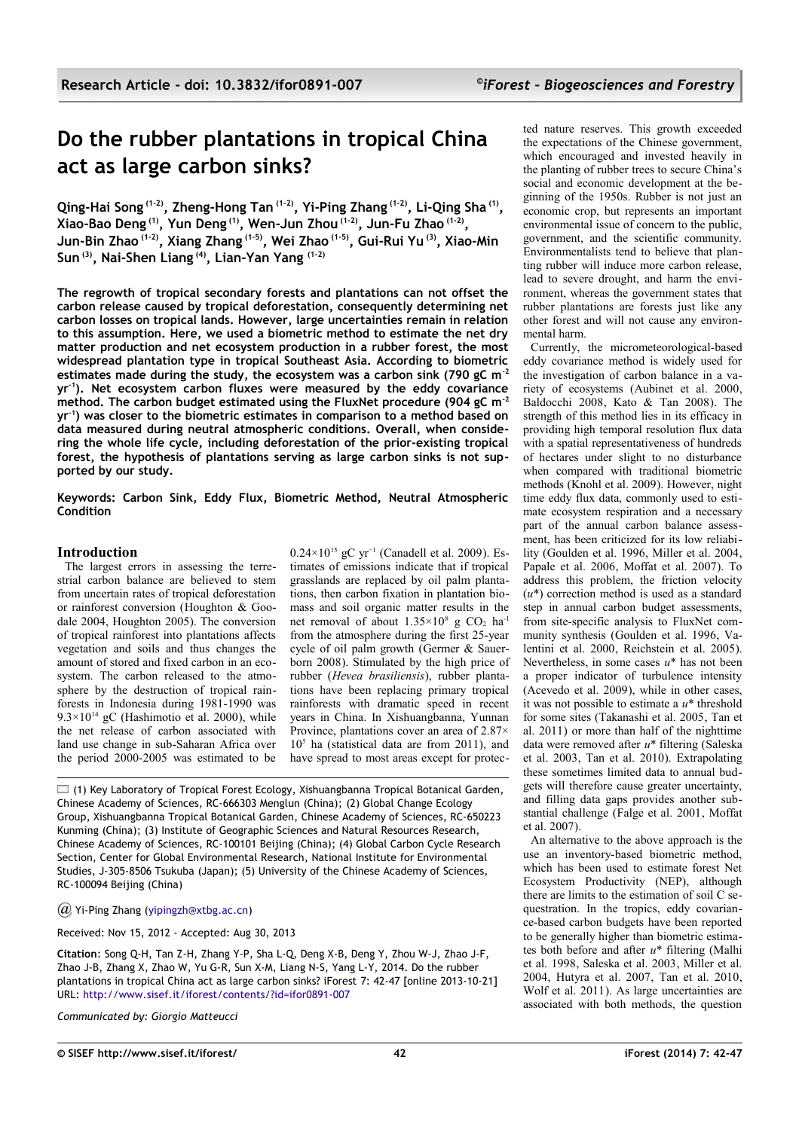# **Do the rubber plantations in tropical China act as large carbon sinks?**

**Qing-Hai Song (1-2), Zheng-Hong Tan (1-2), Yi-Ping Zhang (1-2), Li-Qing Sha (1) , Xiao-Bao Deng (1), Yun Deng (1), Wen-Jun Zhou (1-2), Jun-Fu Zhao (1-2) , Jun-Bin Zhao (1-2), Xiang Zhang (1-5), Wei Zhao (1-5), Gui-Rui Yu (3), Xiao-Min Sun (3), Nai-Shen Liang (4), Lian-Yan Yang (1-2)**

**The regrowth of tropical secondary forests and plantations can not offset the carbon release caused by tropical deforestation, consequently determining net carbon losses on tropical lands. However, large uncertainties remain in relation to this assumption. Here, we used a biometric method to estimate the net dry matter production and net ecosystem production in a rubber forest, the most widespread plantation type in tropical Southeast Asia. According to biometric estimates made during the study, the ecosystem was a carbon sink (790 gC m-2 yr-1). Net ecosystem carbon fluxes were measured by the eddy covariance method. The carbon budget estimated using the FluxNet procedure (904 gC m-2 yr-1) was closer to the biometric estimates in comparison to a method based on data measured during neutral atmospheric conditions. Overall, when considering the whole life cycle, including deforestation of the prior-existing tropical forest, the hypothesis of plantations serving as large carbon sinks is not supported by our study.**

**Keywords: Carbon Sink, Eddy Flux, Biometric Method, Neutral Atmospheric Condition**

## **Introduction**

The largest errors in assessing the terrestrial carbon balance are believed to stem from uncertain rates of tropical deforestation or rainforest conversion (Houghton & Goodale 2004, Houghton 2005). The conversion of tropical rainforest into plantations affects vegetation and soils and thus changes the amount of stored and fixed carbon in an ecosystem. The carbon released to the atmosphere by the destruction of tropical rainforests in Indonesia during 1981-1990 was  $9.3 \times 10^{14}$  gC (Hashimotio et al. 2000), while the net release of carbon associated with land use change in sub-Saharan Africa over the period 2000-2005 was estimated to be  $0.24\times10^{15}$  gC vr<sup>-1</sup> (Canadell et al. 2009). Estimates of emissions indicate that if tropical grasslands are replaced by oil palm plantations, then carbon fixation in plantation biomass and soil organic matter results in the net removal of about  $1.35 \times 10^8$  g CO<sub>2</sub> ha<sup>-1</sup> from the atmosphere during the first 25-year cycle of oil palm growth (Germer & Sauerborn 2008). Stimulated by the high price of rubber (*Hevea brasiliensis*), rubber plantations have been replacing primary tropical rainforests with dramatic speed in recent years in China. In Xishuangbanna, Yunnan Province, plantations cover an area of 2.87× 10<sup>5</sup> ha (statistical data are from 2011), and have spread to most areas except for protec-

 $\Box$  (1) Key Laboratory of Tropical Forest Ecology, Xishuangbanna Tropical Botanical Garden, Chinese Academy of Sciences, RC-666303 Menglun (China); (2) Global Change Ecology Group, Xishuangbanna Tropical Botanical Garden, Chinese Academy of Sciences, RC-650223 Kunming (China); (3) Institute of Geographic Sciences and Natural Resources Research, Chinese Academy of Sciences, RC-100101 Beijing (China); (4) Global Carbon Cycle Research Section, Center for Global Environmental Research, National Institute for Environmental Studies, J-305-8506 Tsukuba (Japan); (5) University of the Chinese Academy of Sciences, RC-100094 Beijing (China)

*@* Yi-Ping Zhang [\(yipingzh@xtbg.ac.cn\)](mailto:yipingzh@xtbg.ac.cn)

Received: Nov 15, 2012 - Accepted: Aug 30, 2013

**Citation**: Song Q-H, Tan Z-H, Zhang Y-P, Sha L-Q, Deng X-B, Deng Y, Zhou W-J, Zhao J-F, Zhao J-B, Zhang X, Zhao W, Yu G-R, Sun X-M, Liang N-S, Yang L-Y, 2014. Do the rubber plantations in tropical China act as large carbon sinks? iForest 7: 42-47 [online 2013-10-21] URL:<http://www.sisef.it/iforest/contents/?id=ifor0891-007>

*Communicated by: Giorgio Matteucci*

ted nature reserves. This growth exceeded the expectations of the Chinese government, which encouraged and invested heavily in the planting of rubber trees to secure China's social and economic development at the beginning of the 1950s. Rubber is not just an economic crop, but represents an important environmental issue of concern to the public, government, and the scientific community. Environmentalists tend to believe that planting rubber will induce more carbon release, lead to severe drought, and harm the environment, whereas the government states that rubber plantations are forests just like any other forest and will not cause any environmental harm.

Currently, the micrometeorological-based eddy covariance method is widely used for the investigation of carbon balance in a variety of ecosystems (Aubinet et al. 2000, Baldocchi 2008, Kato & Tan 2008). The strength of this method lies in its efficacy in providing high temporal resolution flux data with a spatial representativeness of hundreds of hectares under slight to no disturbance when compared with traditional biometric methods (Knohl et al. 2009). However, night time eddy flux data, commonly used to estimate ecosystem respiration and a necessary part of the annual carbon balance assessment, has been criticized for its low reliability (Goulden et al. 1996, Miller et al. 2004, Papale et al. 2006, Moffat et al. 2007). To address this problem, the friction velocity (*u*\*) correction method is used as a standard step in annual carbon budget assessments, from site-specific analysis to FluxNet community synthesis (Goulden et al. 1996, Valentini et al. 2000, Reichstein et al. 2005). Nevertheless, in some cases *u*\* has not been a proper indicator of turbulence intensity (Acevedo et al. 2009), while in other cases, it was not possible to estimate a *u*\* threshold for some sites (Takanashi et al. 2005, Tan et al. 2011) or more than half of the nighttime data were removed after *u*\* filtering (Saleska et al. 2003, Tan et al. 2010). Extrapolating these sometimes limited data to annual budgets will therefore cause greater uncertainty, and filling data gaps provides another substantial challenge (Falge et al. 2001, Moffat et al. 2007).

An alternative to the above approach is the use an inventory-based biometric method, which has been used to estimate forest Net Ecosystem Productivity (NEP), although there are limits to the estimation of soil C sequestration. In the tropics, eddy covariance-based carbon budgets have been reported to be generally higher than biometric estimates both before and after *u*\* filtering (Malhi et al. 1998, Saleska et al. 2003, Miller et al. 2004, Hutyra et al. 2007, Tan et al. 2010, Wolf et al. 2011). As large uncertainties are associated with both methods, the question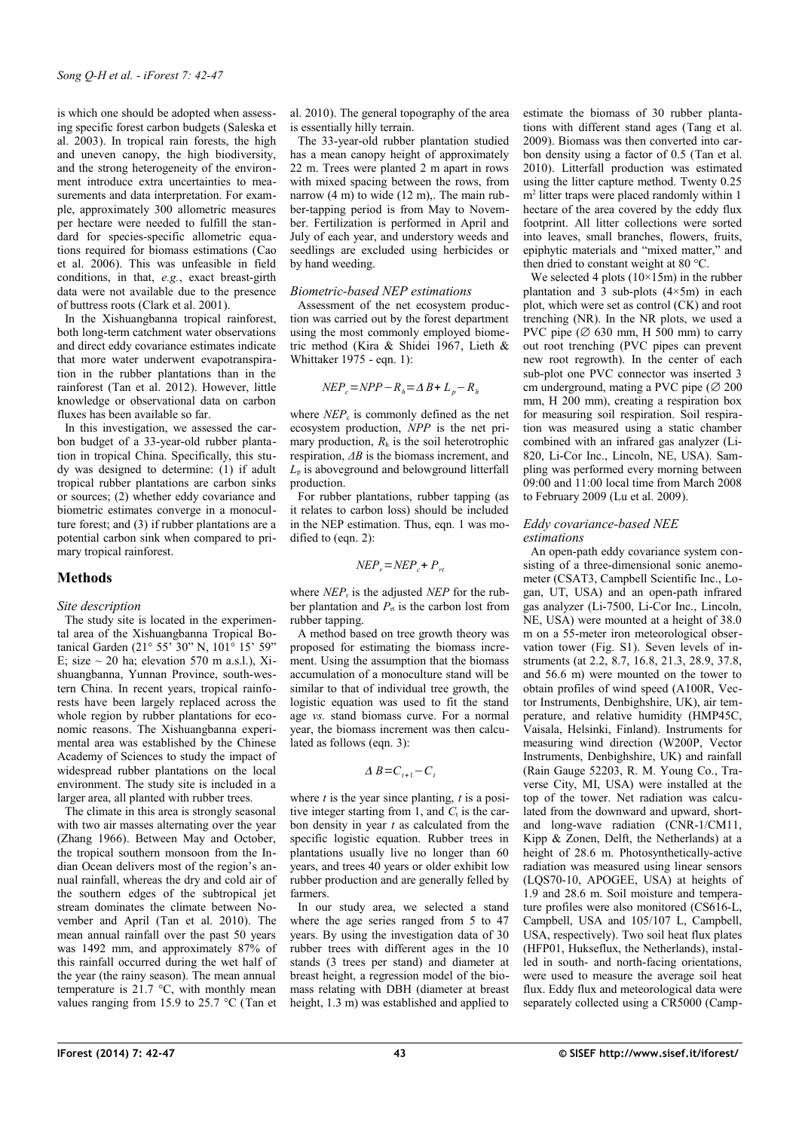is which one should be adopted when assessing specific forest carbon budgets (Saleska et al. 2003). In tropical rain forests, the high and uneven canopy, the high biodiversity, and the strong heterogeneity of the environment introduce extra uncertainties to measurements and data interpretation. For example, approximately 300 allometric measures per hectare were needed to fulfill the standard for species-specific allometric equations required for biomass estimations (Cao et al. 2006). This was unfeasible in field conditions, in that, *e.g.*, exact breast-girth data were not available due to the presence of buttress roots (Clark et al. 2001).

In the Xishuangbanna tropical rainforest, both long-term catchment water observations and direct eddy covariance estimates indicate that more water underwent evapotranspiration in the rubber plantations than in the rainforest (Tan et al. 2012). However, little knowledge or observational data on carbon fluxes has been available so far.

In this investigation, we assessed the carbon budget of a 33-year-old rubber plantation in tropical China. Specifically, this study was designed to determine: (1) if adult tropical rubber plantations are carbon sinks or sources; (2) whether eddy covariance and biometric estimates converge in a monoculture forest; and (3) if rubber plantations are a potential carbon sink when compared to primary tropical rainforest.

## **Methods**

## *Site description*

The study site is located in the experimental area of the Xishuangbanna Tropical Botanical Garden (21° 55' 30" N, 101° 15' 59" E; size  $\sim$  20 ha; elevation 570 m a.s.l.), Xishuangbanna, Yunnan Province, south-western China. In recent years, tropical rainforests have been largely replaced across the whole region by rubber plantations for economic reasons. The Xishuangbanna experimental area was established by the Chinese Academy of Sciences to study the impact of widespread rubber plantations on the local environment. The study site is included in a larger area, all planted with rubber trees.

The climate in this area is strongly seasonal with two air masses alternating over the year (Zhang 1966). Between May and October, the tropical southern monsoon from the Indian Ocean delivers most of the region's annual rainfall, whereas the dry and cold air of the southern edges of the subtropical jet stream dominates the climate between November and April (Tan et al. 2010). The mean annual rainfall over the past 50 years was 1492 mm, and approximately 87% of this rainfall occurred during the wet half of the year (the rainy season). The mean annual temperature is  $21.7 \text{ °C}$ , with monthly mean values ranging from 15.9 to 25.7 °C (Tan et al. 2010). The general topography of the area is essentially hilly terrain.

The 33-year-old rubber plantation studied has a mean canopy height of approximately 22 m. Trees were planted 2 m apart in rows with mixed spacing between the rows, from narrow (4 m) to wide (12 m),. The main rubber-tapping period is from May to November. Fertilization is performed in April and July of each year, and understory weeds and seedlings are excluded using herbicides or by hand weeding.

# *Biometric-based NEP estimations*

Assessment of the net ecosystem production was carried out by the forest department using the most commonly employed biometric method (Kira & Shidei 1967, Lieth & Whittaker 1975 - eqn. 1):

$$
NEP_c = NPP - R_h = \Delta B + L_p - R_h
$$

where  $NEP_c$  is commonly defined as the net ecosystem production, *NPP* is the net primary production,  $R<sub>h</sub>$  is the soil heterotrophic respiration, *ΔB* is the biomass increment, and  $L<sub>p</sub>$  is aboveground and belowground litterfall production.

For rubber plantations, rubber tapping (as it relates to carbon loss) should be included in the NEP estimation. Thus, eqn. 1 was modified to (eqn. 2):

$$
NEP_r = NEP_c + P_{rt}
$$

where  $NEP_r$  is the adjusted *NEP* for the rubber plantation and  $P_{\text{rt}}$  is the carbon lost from rubber tapping.

A method based on tree growth theory was proposed for estimating the biomass increment. Using the assumption that the biomass accumulation of a monoculture stand will be similar to that of individual tree growth, the logistic equation was used to fit the stand age *vs.* stand biomass curve. For a normal year, the biomass increment was then calculated as follows (eqn. 3):

$$
\Delta B = C_{t+1} - C_t
$$

where  $t$  is the year since planting,  $t$  is a positive integer starting from 1, and  $C_t$  is the carbon density in year *t* as calculated from the specific logistic equation. Rubber trees in plantations usually live no longer than 60 years, and trees 40 years or older exhibit low rubber production and are generally felled by farmers.

In our study area, we selected a stand where the age series ranged from 5 to 47 years. By using the investigation data of 30 rubber trees with different ages in the 10 stands (3 trees per stand) and diameter at breast height, a regression model of the biomass relating with DBH (diameter at breast height, 1.3 m) was established and applied to

estimate the biomass of 30 rubber plantations with different stand ages (Tang et al. 2009). Biomass was then converted into carbon density using a factor of 0.5 (Tan et al. 2010). Litterfall production was estimated using the litter capture method. Twenty 0.25 m<sup>2</sup> litter traps were placed randomly within 1 hectare of the area covered by the eddy flux footprint. All litter collections were sorted into leaves, small branches, flowers, fruits, epiphytic materials and "mixed matter," and then dried to constant weight at 80 °C.

We selected 4 plots  $(10\times15m)$  in the rubber plantation and  $\hat{3}$  sub-plots (4×5m) in each plot, which were set as control (CK) and root trenching (NR). In the NR plots, we used a PVC pipe ( $\varnothing$  630 mm, H 500 mm) to carry out root trenching (PVC pipes can prevent new root regrowth). In the center of each sub-plot one PVC connector was inserted 3 cm underground, mating a PVC pipe  $(\emptyset 200)$ mm, H 200 mm), creating a respiration box for measuring soil respiration. Soil respiration was measured using a static chamber combined with an infrared gas analyzer (Li-820, Li-Cor Inc., Lincoln, NE, USA). Sampling was performed every morning between 09:00 and 11:00 local time from March 2008 to February 2009 (Lu et al. 2009).

#### *Eddy covariance-based NEE estimations*

An open-path eddy covariance system consisting of a three-dimensional sonic anemometer (CSAT3, Campbell Scientific Inc., Logan, UT, USA) and an open-path infrared gas analyzer (Li-7500, Li-Cor Inc., Lincoln, NE, USA) were mounted at a height of 38.0 m on a 55-meter iron meteorological observation tower [\(Fig. S1\)](#page-5-0). Seven levels of instruments (at 2.2, 8.7, 16.8, 21.3, 28.9, 37.8, and 56.6 m) were mounted on the tower to obtain profiles of wind speed (A100R, Vector Instruments, Denbighshire, UK), air temperature, and relative humidity (HMP45C, Vaisala, Helsinki, Finland). Instruments for measuring wind direction (W200P, Vector Instruments, Denbighshire, UK) and rainfall (Rain Gauge 52203, R. M. Young Co., Traverse City, MI, USA) were installed at the top of the tower. Net radiation was calculated from the downward and upward, shortand long-wave radiation (CNR-1/CM11, Kipp & Zonen, Delft, the Netherlands) at a height of 28.6 m. Photosynthetically-active radiation was measured using linear sensors (LQS70-10, APOGEE, USA) at heights of 1.9 and 28.6 m. Soil moisture and temperature profiles were also monitored (CS616-L, Campbell, USA and 105/107 L, Campbell, USA, respectively). Two soil heat flux plates (HFP01, Hukseflux, the Netherlands), installed in south- and north-facing orientations, were used to measure the average soil heat flux. Eddy flux and meteorological data were separately collected using a CR5000 (Camp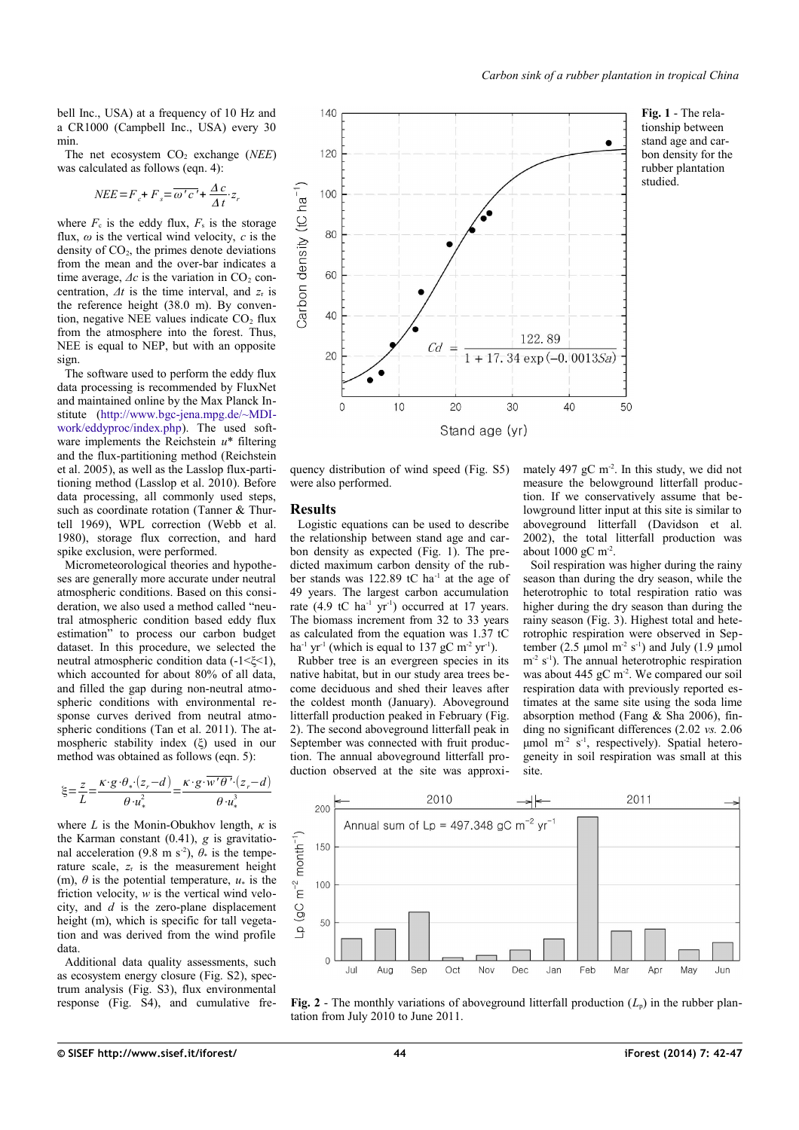bell Inc., USA) at a frequency of 10 Hz and a CR1000 (Campbell Inc., USA) every 30 min.

The net ecosystem  $CO<sub>2</sub>$  exchange (*NEE*) was calculated as follows (eqn. 4):

$$
NEE = F_c + F_s = \overline{\omega'c'} + \frac{\Delta c}{\Delta t} \cdot z_r
$$

where  $F_c$  is the eddy flux,  $F_s$  is the storage flux,  $\omega$  is the vertical wind velocity,  $c$  is the density of  $CO<sub>2</sub>$ , the primes denote deviations from the mean and the over-bar indicates a time average,  $\Delta c$  is the variation in  $CO<sub>2</sub>$  concentration,  $\Delta t$  is the time interval, and  $z_r$  is the reference height (38.0 m). By convention, negative NEE values indicate  $CO<sub>2</sub>$  flux from the atmosphere into the forest. Thus, NEE is equal to NEP, but with an opposite sign.

The software used to perform the eddy flux data processing is recommended by FluxNet and maintained online by the Max Planck Institute [\(http://www.b](http://www.b/)[gc-jena.mpg.de/~MDI](http://www.bgc-jena.mpg.de/~MDIwork/eddyproc/index.php)[work/eddyproc/index.php\)](http://www.bgc-jena.mpg.de/~MDIwork/eddyproc/index.php). The used software implements the Reichstein *u*\* filtering and the flux-partitioning method (Reichstein et al. 2005), as well as the Lasslop flux-partitioning method (Lasslop et al. 2010). Before data processing, all commonly used steps, such as coordinate rotation (Tanner & Thurtell 1969), WPL correction (Webb et al. 1980), storage flux correction, and hard spike exclusion, were performed.

Micrometeorological theories and hypotheses are generally more accurate under neutral atmospheric conditions. Based on this consideration, we also used a method called "neutral atmospheric condition based eddy flux estimation" to process our carbon budget dataset. In this procedure, we selected the neutral atmospheric condition data (-1<ξ<1), which accounted for about 80% of all data. and filled the gap during non-neutral atmospheric conditions with environmental response curves derived from neutral atmospheric conditions (Tan et al. 2011). The atmospheric stability index (ξ) used in our method was obtained as follows (eqn. 5):

$$
\xi = \frac{z}{L} = \frac{\kappa \cdot g \cdot \theta_* \cdot (z_r - d)}{\theta \cdot u_*^2} = \frac{\kappa \cdot g \cdot \overline{w' \theta' \cdot (z_r - d)}}{\theta \cdot u_*^3}
$$

where *L* is the Monin-Obukhov length,  $\kappa$  is the Karman constant (0.41), *g* is gravitational acceleration (9.8 m s<sup>-2</sup>),  $\theta_*$  is the temperature scale,  $z_r$  is the measurement height (m),  $\theta$  is the potential temperature,  $u_*$  is the friction velocity, *w* is the vertical wind velocity, and *d* is the zero-plane displacement height (m), which is specific for tall vegetation and was derived from the wind profile data

Additional data quality assessments, such as ecosystem energy closure [\(Fig. S2\)](#page-5-4), spectrum analysis [\(Fig. S3\)](#page-5-3), flux environmental response [\(Fig. S4\)](#page-5-2), and cumulative fre-

<span id="page-2-1"></span>

quency distribution of wind speed [\(Fig. S5\)](#page-5-1) were also performed.

#### **Results**

Logistic equations can be used to describe the relationship between stand age and carbon density as expected [\(Fig. 1\)](#page-2-1). The predicted maximum carbon density of the rubber stands was 122.89 tC ha<sup>-1</sup> at the age of 49 years. The largest carbon accumulation rate  $(4.9 \text{ tC} \text{ ha}^{-1} \text{ yr}^{-1})$  occurred at 17 years. The biomass increment from 32 to 33 years as calculated from the equation was 1.37 tC ha<sup>-1</sup> yr<sup>-1</sup> (which is equal to 137 gC m<sup>-2</sup> yr<sup>-1</sup>).

Rubber tree is an evergreen species in its native habitat, but in our study area trees become deciduous and shed their leaves after the coldest month (January). Aboveground litterfall production peaked in February [\(Fig.](#page-2-0) [2\)](#page-2-0). The second aboveground litterfall peak in September was connected with fruit production. The annual aboveground litterfall production observed at the site was approximately 497 gC  $m<sup>2</sup>$ . In this study, we did not measure the belowground litterfall production. If we conservatively assume that belowground litter input at this site is similar to aboveground litterfall (Davidson et al. 2002), the total litterfall production was about  $1000 \text{ gC m}^2$ .

Soil respiration was higher during the rainy season than during the dry season, while the heterotrophic to total respiration ratio was higher during the dry season than during the rainy season [\(Fig. 3\)](#page-3-0). Highest total and heterotrophic respiration were observed in September (2.5  $\mu$ mol m<sup>-2</sup> s<sup>-1</sup>) and July (1.9  $\mu$ mol  $m<sup>-2</sup>$  s<sup>-1</sup>). The annual heterotrophic respiration was about 445 gC  $m<sup>2</sup>$ . We compared our soil respiration data with previously reported estimates at the same site using the soda lime absorption method (Fang & Sha 2006), finding no significant differences (2.02 *vs.* 2.06 umol  $m<sup>2</sup>$  s<sup>-1</sup>, respectively). Spatial heterogeneity in soil respiration was small at this site.



<span id="page-2-0"></span>**Fig. 2** - The monthly variations of aboveground litterfall production  $(L_p)$  in the rubber plantation from July 2010 to June 2011.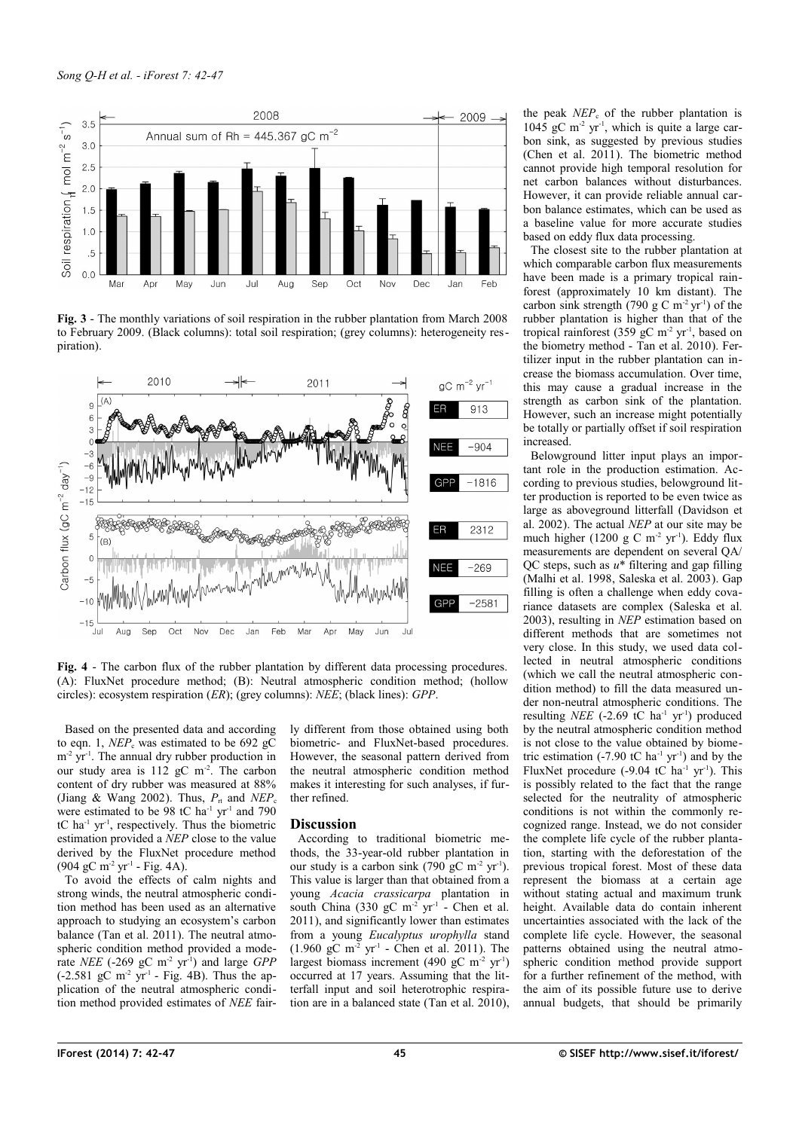

<span id="page-3-0"></span>**Fig. 3** - The monthly variations of soil respiration in the rubber plantation from March 2008 to February 2009. (Black columns): total soil respiration; (grey columns): heterogeneity respiration).



<span id="page-3-1"></span>Fig. 4 - The carbon flux of the rubber plantation by different data processing procedures. (A): FluxNet procedure method; (B): Neutral atmospheric condition method; (hollow circles): ecosystem respiration (*ER*); (grey columns): *NEE*; (black lines): *GPP*.

Based on the presented data and according to eqn. 1,  $NEP_c$  was estimated to be 692 gC  $m<sup>-2</sup>$  yr<sup>-1</sup>. The annual dry rubber production in our study area is 112 gC m<sup>-2</sup>. The carbon content of dry rubber was measured at 88% (Jiang & Wang 2002). Thus,  $P_{\text{rt}}$  and  $NEP_{\text{c}}$ were estimated to be 98 tC ha<sup>-1</sup> yr<sup>-1</sup> and 790 tC ha-1 yr-1, respectively. Thus the biometric estimation provided a *NEP* close to the value derived by the FluxNet procedure method  $(904 \text{ gC m}^2 \text{ yr}^1 - \text{Fig. 4A}).$ 

To avoid the effects of calm nights and strong winds, the neutral atmospheric condition method has been used as an alternative approach to studying an ecosystem's carbon balance (Tan et al. 2011). The neutral atmospheric condition method provided a moderate *NEE* (-269 gC m-2 yr-1) and large *GPP*  $(-2.581 \text{ gC m}^{-2} \text{ yr}^{-1}$  - [Fig. 4B](#page-3-1)). Thus the application of the neutral atmospheric condition method provided estimates of *NEE* fairly different from those obtained using both biometric- and FluxNet-based procedures. However, the seasonal pattern derived from the neutral atmospheric condition method makes it interesting for such analyses, if further refined.

## **Discussion**

According to traditional biometric methods, the 33-year-old rubber plantation in our study is a carbon sink  $(790 \text{ gC m}^2 \text{ yr}^1)$ . This value is larger than that obtained from a young *Acacia crassicarpa* plantation in south China (330 gC  $m<sup>-2</sup>$  yr<sup>-1</sup> - Chen et al. 2011), and significantly lower than estimates from a young *Eucalyptus urophylla* stand  $(1.960 \text{ gC m}^{-2} \text{ yr}^{-1}$  - Chen et al. 2011). The largest biomass increment (490 gC m<sup>-2</sup> yr<sup>-1</sup>) occurred at 17 years. Assuming that the litterfall input and soil heterotrophic respiration are in a balanced state (Tan et al. 2010),

the peak  $NEP_c$  of the rubber plantation is  $1045$  gC m<sup>-2</sup> yr<sup>-1</sup>, which is quite a large carbon sink, as suggested by previous studies (Chen et al. 2011). The biometric method cannot provide high temporal resolution for net carbon balances without disturbances. However, it can provide reliable annual carbon balance estimates, which can be used as a baseline value for more accurate studies based on eddy flux data processing.

The closest site to the rubber plantation at which comparable carbon flux measurements have been made is a primary tropical rainforest (approximately 10 km distant). The carbon sink strength (790 g C m<sup>-2</sup> yr<sup>-1</sup>) of the rubber plantation is higher than that of the tropical rainforest  $(359 \text{ gC m}^2 \text{ yr}^1)$ , based on the biometry method - Tan et al. 2010). Fertilizer input in the rubber plantation can increase the biomass accumulation. Over time, this may cause a gradual increase in the strength as carbon sink of the plantation. However, such an increase might potentially be totally or partially offset if soil respiration increased.

Belowground litter input plays an important role in the production estimation. According to previous studies, belowground litter production is reported to be even twice as large as aboveground litterfall (Davidson et al. 2002). The actual *NEP* at our site may be much higher (1200 g C m<sup>-2</sup> yr<sup>-1</sup>). Eddy flux measurements are dependent on several QA/ QC steps, such as *u*\* filtering and gap filling (Malhi et al. 1998, Saleska et al. 2003). Gap filling is often a challenge when eddy covariance datasets are complex (Saleska et al. 2003), resulting in *NEP* estimation based on different methods that are sometimes not very close. In this study, we used data collected in neutral atmospheric conditions (which we call the neutral atmospheric condition method) to fill the data measured under non-neutral atmospheric conditions. The resulting *NEE* (-2.69 tC ha<sup>-1</sup> yr<sup>-1</sup>) produced by the neutral atmospheric condition method is not close to the value obtained by biometric estimation  $(-7.90 \text{ tC} \text{ ha}^{-1} \text{ yr}^{-1})$  and by the FluxNet procedure  $(-9.04 \text{ tC} \text{ ha}^{-1} \text{ yr}^{-1})$ . This is possibly related to the fact that the range selected for the neutrality of atmospheric conditions is not within the commonly recognized range. Instead, we do not consider the complete life cycle of the rubber plantation, starting with the deforestation of the previous tropical forest. Most of these data represent the biomass at a certain age without stating actual and maximum trunk height. Available data do contain inherent uncertainties associated with the lack of the complete life cycle. However, the seasonal patterns obtained using the neutral atmospheric condition method provide support for a further refinement of the method, with the aim of its possible future use to derive annual budgets, that should be primarily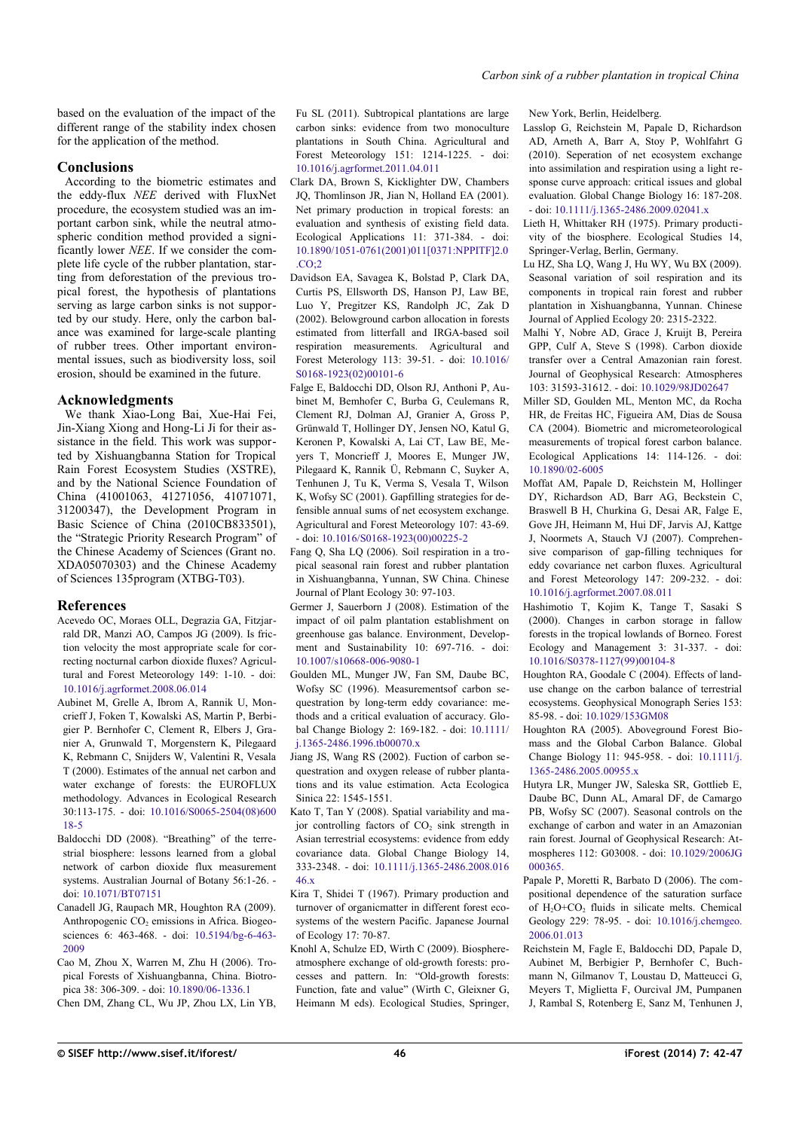based on the evaluation of the impact of the different range of the stability index chosen for the application of the method.

#### **Conclusions**

According to the biometric estimates and the eddy-flux *NEE* derived with FluxNet procedure, the ecosystem studied was an important carbon sink, while the neutral atmospheric condition method provided a significantly lower *NEE*. If we consider the complete life cycle of the rubber plantation, starting from deforestation of the previous tropical forest, the hypothesis of plantations serving as large carbon sinks is not supported by our study. Here, only the carbon balance was examined for large-scale planting of rubber trees. Other important environmental issues, such as biodiversity loss, soil erosion, should be examined in the future.

#### **Acknowledgments**

We thank Xiao-Long Bai, Xue-Hai Fei, Jin-Xiang Xiong and Hong-Li Ji for their assistance in the field. This work was supported by Xishuangbanna Station for Tropical Rain Forest Ecosystem Studies (XSTRE), and by the National Science Foundation of China (41001063, 41271056, 41071071, 31200347), the Development Program in Basic Science of China (2010CB833501). the "Strategic Priority Research Program" of the Chinese Academy of Sciences (Grant no. XDA05070303) and the Chinese Academy of Sciences 135program (XTBG-T03).

#### **References**

- Acevedo OC, Moraes OLL, Degrazia GA, Fitzjarrald DR, Manzi AO, Campos JG (2009). Is friction velocity the most appropriate scale for correcting nocturnal carbon dioxide fluxes? Agricultural and Forest Meteorology 149: 1-10. - doi: [10.1016/j.agrformet.2008.06.014](http://dx.doi.org/10.1016/j.agrformet.2008.06.014)
- Aubinet M, Grelle A, Ibrom A, Rannik U, Moncrieff J, Foken T, Kowalski AS, Martin P, Berbigier P. Bernhofer C, Clement R, Elbers J, Granier A, Grunwald T, Morgenstern K, Pilegaard K, Rebmann C, Snijders W, Valentini R, Vesala T (2000). Estimates of the annual net carbon and water exchange of forests: the EUROFLUX methodology. Advances in Ecological Research 30:113-175. - doi: [10.1016/S0065-2504\(08\)600](http://dx.doi.org/10.1016/S0065-2504(08)60018-5) [18-5](http://dx.doi.org/10.1016/S0065-2504(08)60018-5)
- Baldocchi DD (2008). "Breathing" of the terrestrial biosphere: lessons learned from a global network of carbon dioxide flux measurement systems. Australian Journal of Botany 56:1-26. doi: [10.1071/BT07151](http://dx.doi.org/10.1071/BT07151)
- Canadell JG, Raupach MR, Houghton RA (2009). Anthropogenic  $CO<sub>2</sub>$  emissions in Africa. Biogeosciences 6: 463-468. - doi: [10.5194/bg-6-463-](http://dx.doi.org/10.5194/bg-6-463-2009) [2009](http://dx.doi.org/10.5194/bg-6-463-2009)
- Cao M, Zhou X, Warren M, Zhu H (2006). Tropical Forests of Xishuangbanna, China. Biotropica 38: 306-309. - doi: [10.1890/06-1336.1](http://dx.doi.org/10.1890/06-1336.1)
- Chen DM, Zhang CL, Wu JP, Zhou LX, Lin YB,

Fu SL (2011). Subtropical plantations are large carbon sinks: evidence from two monoculture plantations in South China. Agricultural and Forest Meteorology 151: 1214-1225. - doi: [10.1016/j.agrformet.2011.04.011](http://dx.doi.org/10.1016/j.agrformet.2011.04.011)

- Clark DA, Brown S, Kicklighter DW, Chambers JQ, Thomlinson JR, Jian N, Holland EA (2001). Net primary production in tropical forests: an evaluation and synthesis of existing field data. Ecological Applications 11: 371-384. - doi: [10.1890/1051-0761\(2001\)011\[0371:NPPITF\]2.0](http://dx.doi.org/10.1890/1051-0761(2001)011%5B0371:NPPITF%5D2.0.CO;2)  $CO<sub>2</sub>$
- Davidson EA, Savagea K, Bolstad P, Clark DA, Curtis PS, Ellsworth DS, Hanson PJ, Law BE, Luo Y, Pregitzer KS, Randolph JC, Zak D (2002). Belowground carbon allocation in forests estimated from litterfall and IRGA-based soil respiration measurements. Agricultural and Forest Meterology 113: 39-51. - doi: [10.1016/](http://dx.doi.org/10.1016/S0168-1923(02)00101-6) [S0168-1923\(02\)00101-6](http://dx.doi.org/10.1016/S0168-1923(02)00101-6)
- Falge E, Baldocchi DD, Olson RJ, Anthoni P, Aubinet M, Bemhofer C, Burba G, Ceulemans R, Clement RJ, Dolman AJ, Granier A, Gross P, Grünwald T, Hollinger DY, Jensen NO, Katul G, Keronen P, Kowalski A, Lai CT, Law BE, Meyers T, Moncrieff J, Moores E, Munger JW, Pilegaard K, Rannik Ü, Rebmann C, Suyker A, Tenhunen J, Tu K, Verma S, Vesala T, Wilson K, Wofsy SC (2001). Gapfilling strategies for defensible annual sums of net ecosystem exchange. Agricultural and Forest Meteorology 107: 43-69. - doi: [10.1016/S0168-1923\(00\)00225-2](http://dx.doi.org/10.1016/S0168-1923(00)00225-2)
- Fang Q, Sha LQ (2006). Soil respiration in a tropical seasonal rain forest and rubber plantation in Xishuangbanna, Yunnan, SW China. Chinese Journal of Plant Ecology 30: 97-103.
- Germer J, Sauerborn J (2008). Estimation of the impact of oil palm plantation establishment on greenhouse gas balance. Environment, Development and Sustainability 10: 697-716. - doi: [10.1007/s10668-006-9080-1](http://dx.doi.org/10.1007/s10668-006-9080-1)
- Goulden ML, Munger JW, Fan SM, Daube BC, Wofsy SC (1996). Measurementsof carbon sequestration by long-term eddy covariance: methods and a critical evaluation of accuracy. Global Change Biology 2: 169-182. - doi: [10.1111/](http://dx.doi.org/10.1111/j.1365-2486.1996.tb00070.x) [j.1365-2486.1996.tb00070.x](http://dx.doi.org/10.1111/j.1365-2486.1996.tb00070.x)
- Jiang JS, Wang RS (2002). Fuction of carbon sequestration and oxygen release of rubber plantations and its value estimation. Acta Ecologica Sinica 22: 1545-1551.
- Kato T, Tan Y (2008). Spatial variability and major controlling factors of  $CO<sub>2</sub>$  sink strength in Asian terrestrial ecosystems: evidence from eddy covariance data. Global Change Biology 14, 333-2348. - doi: [10.1111/j.1365-2486.2008.016](http://dx.doi.org/10.1111/j.1365-2486.2008.01646.x) [46.x](http://dx.doi.org/10.1111/j.1365-2486.2008.01646.x)
- Kira T, Shidei T (1967). Primary production and turnover of organicmatter in different forest ecosystems of the western Pacific. Japanese Journal of Ecology 17: 70-87.
- Knohl A, Schulze ED, Wirth C (2009). Biosphereatmosphere exchange of old-growth forests: processes and pattern. In: "Old-growth forests: Function, fate and value" (Wirth C, Gleixner G, Heimann M eds). Ecological Studies, Springer,

New York, Berlin, Heidelberg.

- Lasslop G, Reichstein M, Papale D, Richardson AD, Arneth A, Barr A, Stoy P, Wohlfahrt G (2010). Seperation of net ecosystem exchange into assimilation and respiration using a light response curve approach: critical issues and global evaluation. Global Change Biology 16: 187-208. - doi: [10.1111/j.1365-2486.2009.02041.x](http://dx.doi.org/10.1111/j.1365-2486.2009.02041.x)
- Lieth H, Whittaker RH (1975). Primary productivity of the biosphere. Ecological Studies 14, Springer-Verlag, Berlin, Germany.
- Lu HZ, Sha LQ, Wang J, Hu WY, Wu BX (2009). Seasonal variation of soil respiration and its components in tropical rain forest and rubber plantation in Xishuangbanna, Yunnan. Chinese Journal of Applied Ecology 20: 2315-2322.
- Malhi Y, Nobre AD, Grace J, Kruijt B, Pereira GPP, Culf A, Steve S (1998). Carbon dioxide transfer over a Central Amazonian rain forest. Journal of Geophysical Research: Atmospheres 103: 31593-31612. - doi: [10.1029/98JD02647](http://dx.doi.org/10.1029/98JD02647)
- Miller SD, Goulden ML, Menton MC, da Rocha HR, de Freitas HC, Figueira AM, Dias de Sousa CA (2004). Biometric and micrometeorological measurements of tropical forest carbon balance. Ecological Applications 14: 114-126. - doi: [10.1890/02-6005](http://dx.doi.org/10.1890/02-6005)
- Moffat AM, Papale D, Reichstein M, Hollinger DY, Richardson AD, Barr AG, Beckstein C, Braswell B H, Churkina G, Desai AR, Falge E, Gove JH, Heimann M, Hui DF, Jarvis AJ, Kattge J, Noormets A, Stauch VJ (2007). Comprehensive comparison of gap-filling techniques for eddy covariance net carbon fluxes. Agricultural and Forest Meteorology 147: 209-232. - doi: [10.1016/j.agrformet.2007.08.011](http://dx.doi.org/10.1016/j.agrformet.2007.08.011)
- Hashimotio T, Kojim K, Tange T, Sasaki S (2000). Changes in carbon storage in fallow forests in the tropical lowlands of Borneo. Forest Ecology and Management 3: 31-337. - doi: [10.1016/S0378-1127\(99\)00104-8](http://dx.doi.org/10.1016/S0378-1127(99)00104-8)
- Houghton RA, Goodale C (2004). Effects of landuse change on the carbon balance of terrestrial ecosystems. Geophysical Monograph Series 153: 85-98. - doi: [10.1029/153GM08](http://dx.doi.org/10.1029/153GM08)
- Houghton RA (2005). Aboveground Forest Biomass and the Global Carbon Balance. Global Change Biology 11: 945-958. - doi: [10.1111/j.](http://dx.doi.org/10.1111/j.1365-2486.2005.00955.x) [1365-2486.2005.00955.x](http://dx.doi.org/10.1111/j.1365-2486.2005.00955.x)
- Hutyra LR, Munger JW, Saleska SR, Gottlieb E, Daube BC, Dunn AL, Amaral DF, de Camargo PB, Wofsy SC (2007). Seasonal controls on the exchange of carbon and water in an Amazonian rain forest. Journal of Geophysical Research: Atmospheres 112: G03008. - doi: [10.1029/2006JG](http://dx.doi.org/10.1029/2006JG000365.) [000365.](http://dx.doi.org/10.1029/2006JG000365.)
- Papale P, Moretti R, Barbato D (2006). The compositional dependence of the saturation surface of  $H_2O+CO_2$  fluids in silicate melts. Chemical Geology 229: 78-95. - doi: [10.1016/j.chemgeo.](http://dx.doi.org/10.1016/j.chemgeo.2006.01.013) [2006.01.013](http://dx.doi.org/10.1016/j.chemgeo.2006.01.013)
- Reichstein M, Fagle E, Baldocchi DD, Papale D, Aubinet M, Berbigier P, Bernhofer C, Buchmann N, Gilmanov T, Loustau D, Matteucci G, Meyers T, Miglietta F, Ourcival JM, Pumpanen J, Rambal S, Rotenberg E, Sanz M, Tenhunen J,